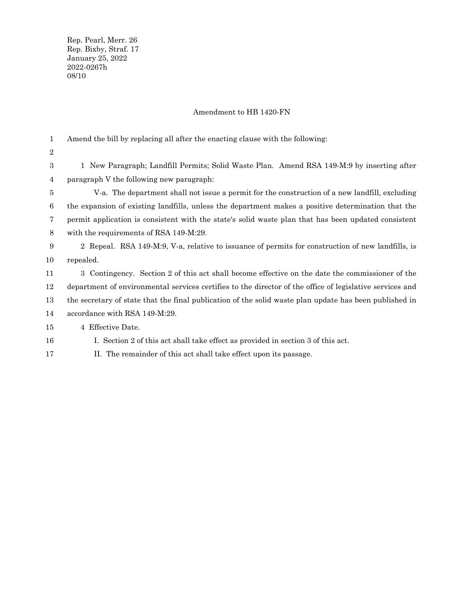Rep. Pearl, Merr. 26 Rep. Bixby, Straf. 17 January 25, 2022 2022-0267h 08/10

## Amendment to HB 1420-FN

Amend the bill by replacing all after the enacting clause with the following: 1

2

16

1 New Paragraph; Landfill Permits; Solid Waste Plan. Amend RSA 149-M:9 by inserting after paragraph V the following new paragraph: 3 4

V-a. The department shall not issue a permit for the construction of a new landfill, excluding the expansion of existing landfills, unless the department makes a positive determination that the permit application is consistent with the state's solid waste plan that has been updated consistent with the requirements of RSA 149-M:29. 5 6 7 8

2 Repeal. RSA 149-M:9, V-a, relative to issuance of permits for construction of new landfills, is repealed. 9 10

3 Contingency. Section 2 of this act shall become effective on the date the commissioner of the department of environmental services certifies to the director of the office of legislative services and the secretary of state that the final publication of the solid waste plan update has been published in accordance with RSA 149-M:29. 11 12 13 14

4 Effective Date. 15

I. Section 2 of this act shall take effect as provided in section 3 of this act.

II. The remainder of this act shall take effect upon its passage. 17